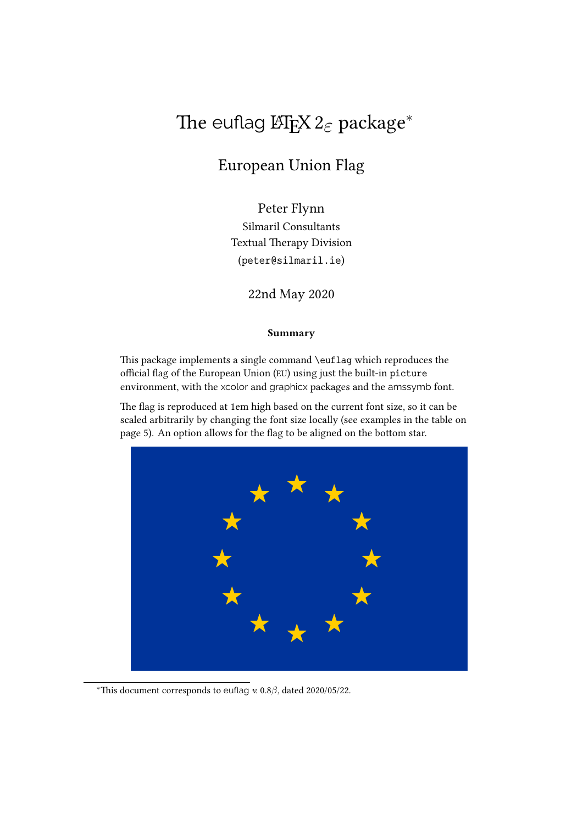# The euflag L<sup>ET</sup>E<sub>F</sub>X 2<sub>ε</sub> package<sup>\*</sup>

## European Union Flag

Peter Flynn Silmaril Consultants Textual Therapy Division (peter@silmaril.ie)

22nd May 2020

#### **Summary**

This package implements a single command \euflag which reproduces the official flag of the European Union (EU) using just the built-in picture environment, with the xcolor and graphicx packages and the amssymb font.

The flag is reproduced at 1em high based on the current font size, so it can be scaled arbitrarily by changing the font size locally (see examples in the table on page 5). An option allows for the flag to be aligned on the bottom star.



*<sup>∗</sup>*This document corresponds to euflag *v.* 0.8*β*, dated 2020/05/22.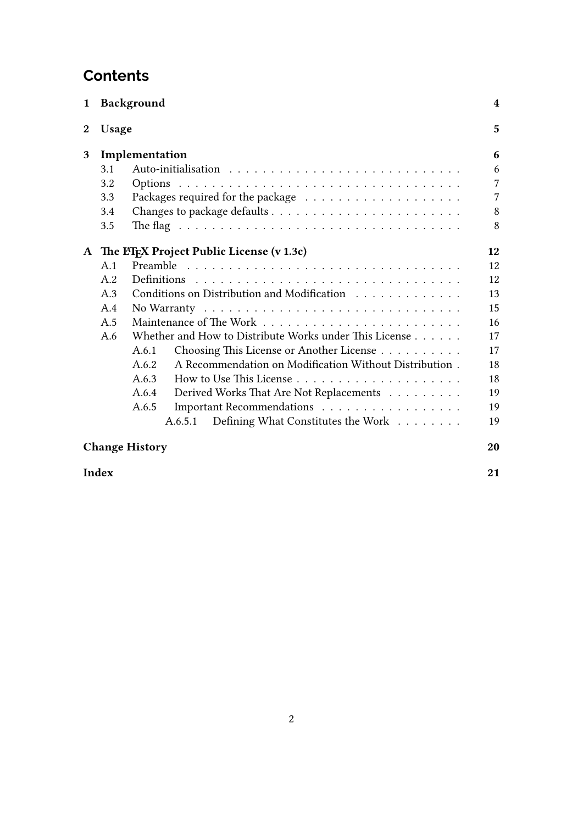## **Contents**

| 1            |       | <b>Background</b>                                                                       | 4              |
|--------------|-------|-----------------------------------------------------------------------------------------|----------------|
| $\mathbf{2}$ | Usage |                                                                                         | 5              |
| 3            |       | Implementation                                                                          | 6              |
|              | 3.1   |                                                                                         | 6              |
|              | 3.2   |                                                                                         | $\overline{7}$ |
|              | 3.3   |                                                                                         | 7              |
|              | 3.4   |                                                                                         | 8              |
|              | 3.5   | The flag $\ldots \ldots \ldots \ldots \ldots \ldots \ldots \ldots \ldots \ldots \ldots$ | 8              |
| A            |       | The LIFX Project Public License (v 1.3c)                                                | 12             |
|              | A.1   |                                                                                         | 12             |
|              | A.2   |                                                                                         | 12             |
|              | A.3   | Conditions on Distribution and Modification                                             | 13             |
|              | A.4   |                                                                                         | 15             |
|              | A.5   |                                                                                         | 16             |
|              | A.6   | Whether and How to Distribute Works under This License                                  | 17             |
|              |       | Choosing This License or Another License<br>A.6.1                                       | 17             |
|              |       | A Recommendation on Modification Without Distribution.<br>A.6.2                         | 18             |
|              |       | A.6.3                                                                                   | 18             |
|              |       | A.6.4<br>Derived Works That Are Not Replacements                                        | 19             |
|              |       | Important Recommendations<br>A.6.5                                                      | 19             |
|              |       | Defining What Constitutes the Work<br>A.6.5.1                                           | 19             |
|              |       | <b>Change History</b>                                                                   | 20             |

**Index 21**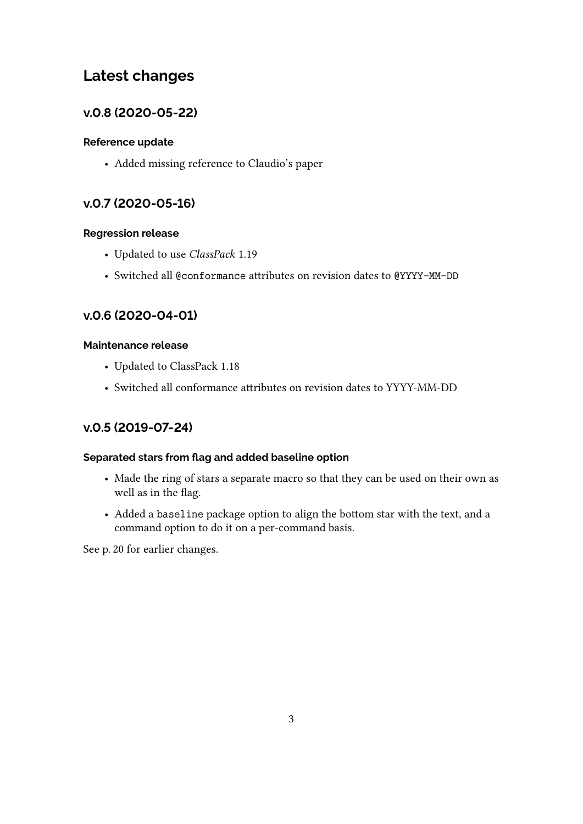## **Latest changes**

## **v.0.8 (2020-05-22)**

### **Reference update**

• Added missing reference to Claudio's paper

## **v.0.7 (2020-05-16)**

### **Regression release**

- Updated to use *ClassPack* 1.19
- Switched all @conformance attributes on revision dates to @YYYY-MM-DD

## **v.0.6 (2020-04-01)**

### **Maintenance release**

- Updated to ClassPack 1.18
- Switched all conformance attributes on revision dates to YYYY-MM-DD

## **v.0.5 (2019-07-24)**

### **Separated stars from flag and added baseline option**

- Made the ring of stars a separate macro so that they can be used on their own as well as in the flag.
- Added a baseline package option to align the bottom star with the text, and a command option to do it on a per-command basis.

See p. 20 for earlier changes.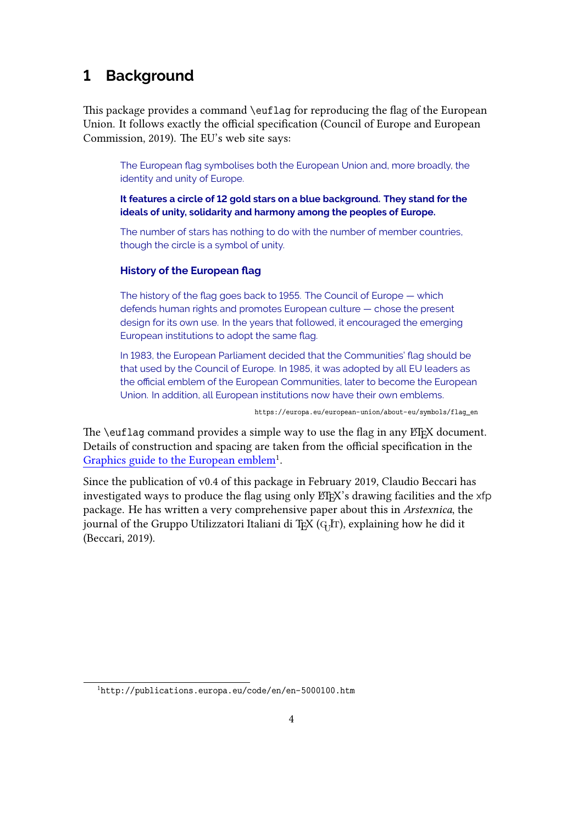## **1 Background**

This package provides a command \euflag for reproducing the flag of the European Union. It follows exactly the official specification (Council of Europe and European Commission, 2019). The EU's web site says:

The European flag symbolises both the European Union and, more broadly, the identity and unity of Europe.

**It features a circle of 12 gold stars on a blue background. They stand for the ideals of unity, solidarity and harmony among the peoples of Europe.**

The number of stars has nothing to do with the number of member countries, though the circle is a symbol of unity.

#### **History of the European flag**

The history of the flag goes back to 1955. The Council of Europe — which defends human rights and promotes European culture — chose the present design for its own use. In the years that followed, it encouraged the emerging European institutions to adopt the same flag.

In 1983, the European Parliament decided that the Communities' flag should be that used by the Council of Europe. In 1985, it was adopted by all EU leaders as the official emblem of the European Communities, later to become the European Union. In addition, all European institutions now have their own emblems.

https://europa.eu/european-union/about-eu/symbols/flag\_en

The  $\ell$  euflag command provides a simple way to use the flag in any ET<sub>EX</sub> document. Details of construction and spacing are taken from the official specification in the Graphics guide to the European emblem<sup>1</sup>.

Since the publication of v0.4 of this package in February 2019, Claudio Beccari has investigated ways to produce the flag using only LATEX's drawing facilities and the xfp package. He has written a very comprehensive paper about this in *Arstexnica*, the journal of the Gruppo Utilizzatori Italiani di T $_{\rm EX}$  ( $_{\rm GJ}$ Ir), explaining how he did it (Beccari, 2019).

<sup>1</sup>http://publications.europa.eu/code/en/en-5000100.htm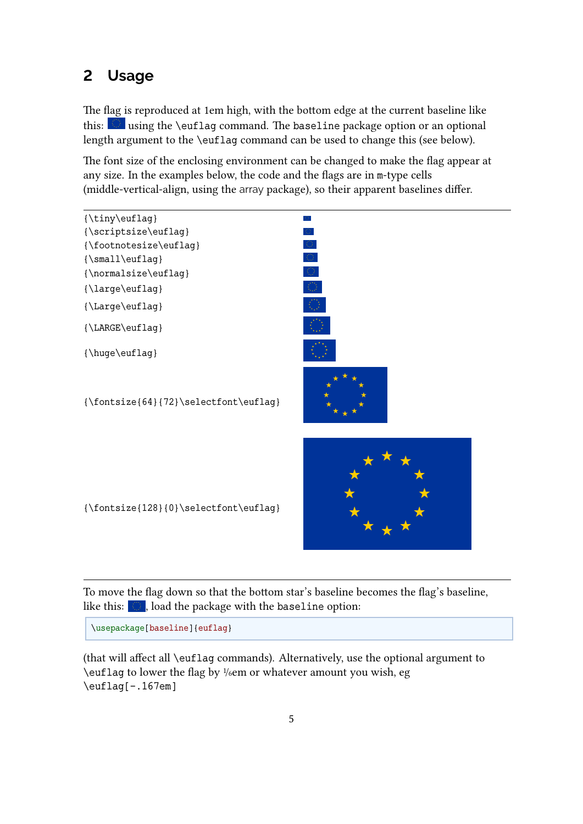## **2 Usage**

The flag is reproduced at 1em high, with the bottom edge at the current baseline like this:  $\blacksquare$  using the \euflag command. The baseline package option or an optional length argument to the \euflag command can be used to change this (see below).

The font size of the enclosing environment can be changed to make the flag appear at any size. In the examples below, the code and the flags are in m-type cells (middle-vertical-align, using the array package), so their apparent baselines differ.



To move the flag down so that the bottom star's baseline becomes the flag's baseline, like this:  $\begin{array}{|c|} \hline \textbf{.} \end{array}$  , load the package with the baseline option:

\usepackage[baseline]{euflag}

(that will affect all \euflag commands). Alternatively, use the optional argument to \euflag to lower the flag by <sup>1</sup>/6em or whatever amount you wish, eg \euflag[-.167em]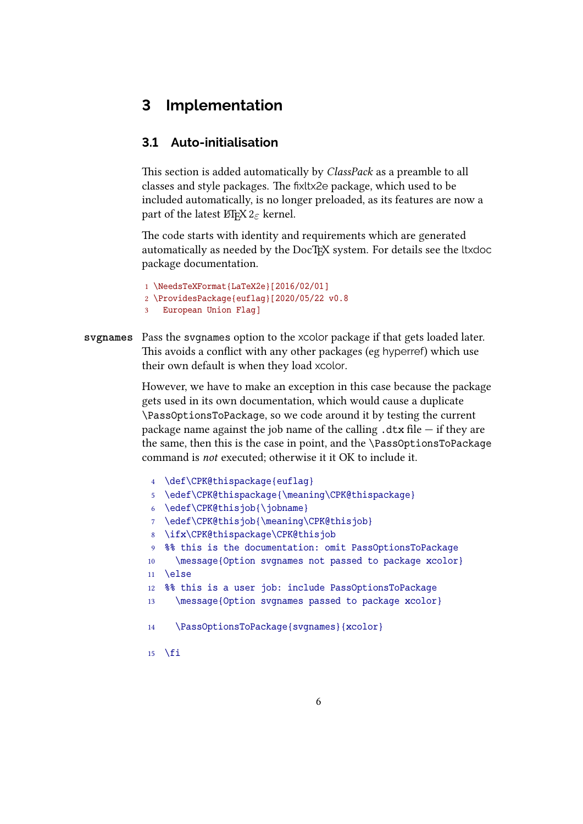## **3 Implementation**

### **3.1 Auto-initialisation**

This section is added automatically by *ClassPack* as a preamble to all classes and style packages. The fixltx2e package, which used to be included automatically, is no longer preloaded, as its features are now a part of the latest ET<sub>F</sub>X 2<sub>*ε*</sub> kernel.

The code starts with identity and requirements which are generated automatically as needed by the DocTEX system. For details see the ltxdoc package documentation.

```
1 \NeedsTeXFormat{LaTeX2e}[2016/02/01]
2 \ProvidesPackage{euflag}[2020/05/22 v0.8
3 European Union Flag]
```
**svgnames** Pass the svgnames option to the xcolor package if that gets loaded later. This avoids a conflict with any other packages (eg hyperref) which use their own default is when they load xcolor.

> However, we have to make an exception in this case because the package gets used in its own documentation, which would cause a duplicate \PassOptionsToPackage, so we code around it by testing the current package name against the job name of the calling  $.$ dtx file  $-$  if they are the same, then this is the case in point, and the \PassOptionsToPackage command is *not* executed; otherwise it it OK to include it.

| $\overline{4}$ | \def\CPK@thispackage{euflag}                              |  |  |  |  |  |  |  |  |  |
|----------------|-----------------------------------------------------------|--|--|--|--|--|--|--|--|--|
| $5^{\circ}$    | \edef\CPK@thispackaqe{\meaning\CPK@thispackaqe}           |  |  |  |  |  |  |  |  |  |
| 6              | \edef\CPK@thisjob{\jobname}                               |  |  |  |  |  |  |  |  |  |
| 7 <sup>1</sup> | \edef\CPK@thisjob{\meaning\CPK@thisjob}                   |  |  |  |  |  |  |  |  |  |
| 8              | \ifx\CPK@thispackage\CPK@thisjob                          |  |  |  |  |  |  |  |  |  |
|                | 9 %% this is the documentation: omit PassOptionsToPackage |  |  |  |  |  |  |  |  |  |
| 10             | \message{Option svgnames not passed to package xcolor}    |  |  |  |  |  |  |  |  |  |
| 11             | <b>Nelse</b>                                              |  |  |  |  |  |  |  |  |  |
|                | 12 %% this is a user job: include PassOptionsToPackage    |  |  |  |  |  |  |  |  |  |
| 13             | \message{Option svgnames passed to package xcolor}        |  |  |  |  |  |  |  |  |  |
| 14             | \PassOptionsToPackage{svgnames}{xcolor}                   |  |  |  |  |  |  |  |  |  |
| 15             | \fi                                                       |  |  |  |  |  |  |  |  |  |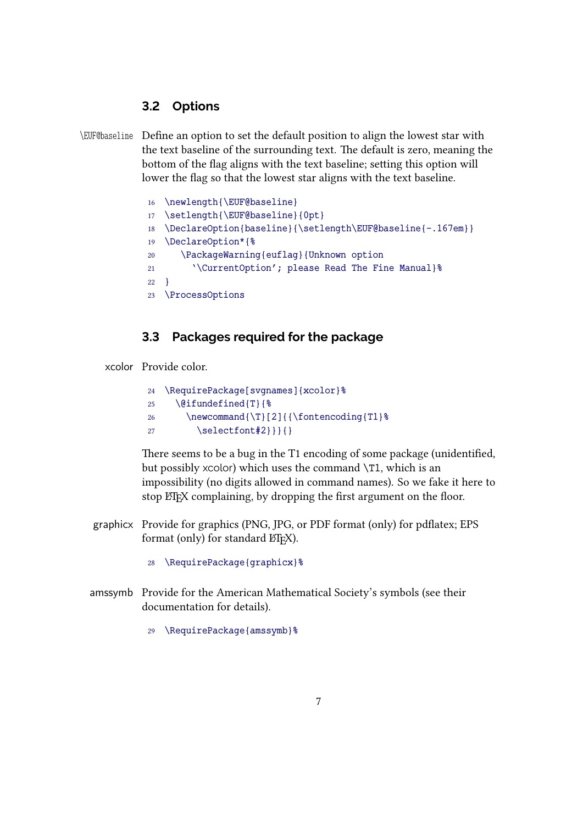### **3.2 Options**

\EUF@baseline Define an option to set the default position to align the lowest star with the text baseline of the surrounding text. The default is zero, meaning the bottom of the flag aligns with the text baseline; setting this option will lower the flag so that the lowest star aligns with the text baseline.

```
16 \newlength{\EUF@baseline}
17 \setlength{\EUF@baseline}{0pt}
18 \DeclareOption{baseline}{\setlength\EUF@baseline{-.167em}}
19 \DeclareOption*{%
20 \PackageWarning{euflag}{Unknown option
21 '\CurrentOption'; please Read The Fine Manual}%
22 }
23 \ProcessOptions
```
### **3.3 Packages required for the package**

xcolor Provide color.

|                 | 24 \RequirePackage[svgnames]{xcolor}%    |
|-----------------|------------------------------------------|
| 25 <sup>2</sup> | $\left\{ \theta \in \mathbb{R} \right\}$ |
| 26              | \newcommand{\T}[2]{{\fontencoding{T1}%   |
| 27              |                                          |

There seems to be a bug in the T1 encoding of some package (unidentified, but possibly xcolor) which uses the command \T1, which is an impossibility (no digits allowed in command names). So we fake it here to stop ETEX complaining, by dropping the first argument on the floor.

- graphicx Provide for graphics (PNG, JPG, or PDF format (only) for pdflatex; EPS format (only) for standard  $E$ F<sub>F</sub>X $)$ .
	- 28 \RequirePackage{graphicx}%
- amssymb Provide for the American Mathematical Society's symbols (see their documentation for details).
	- 29 \RequirePackage{amssymb}%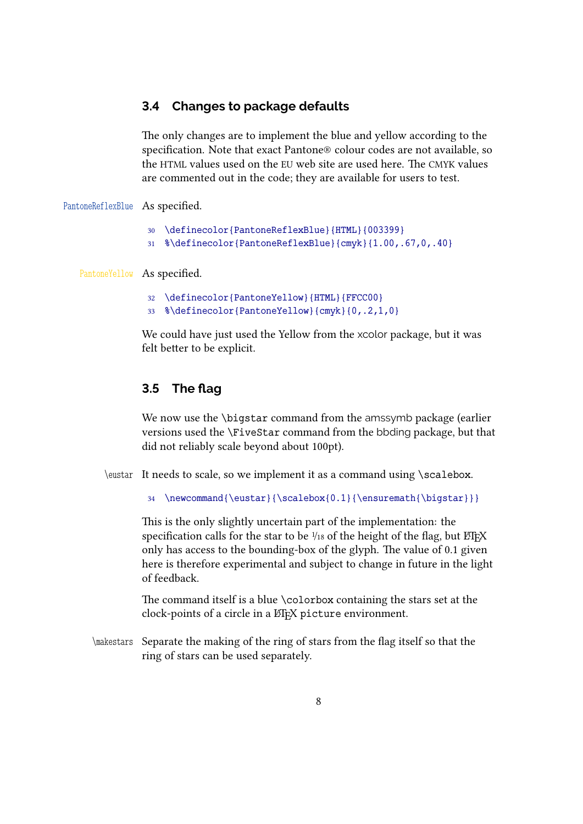### **3.4 Changes to package defaults**

The only changes are to implement the blue and yellow according to the specification. Note that exact Pantone® colour codes are not available, so the HTML values used on the EU web site are used here. The CMYK values are commented out in the code; they are available for users to test.

#### PantoneReflexBlue As specified.

- 30 \definecolor{PantoneReflexBlue}{HTML}{003399}
- 31 %\definecolor{PantoneReflexBlue}{cmyk}{1.00,.67,0,.40}

#### PantoneYellow As specified.

- 32 \definecolor{PantoneYellow}{HTML}{FFCC00}
- 33 %\definecolor{PantoneYellow}{cmyk}{0,.2,1,0}

We could have just used the Yellow from the xcolor package, but it was felt better to be explicit.

### **3.5 The flag**

We now use the *\bigstar command from the amssymb package (earlier*) versions used the \FiveStar command from the bbding package, but that did not reliably scale beyond about 100pt).

\eustar It needs to scale, so we implement it as a command using \scalebox.

```
34 \newcommand{\eustar}{\scalebox{0.1}{\ensuremath{\bigstar}}}
```
This is the only slightly uncertain part of the implementation: the specification calls for the star to be  $\frac{1}{18}$  of the height of the flag, but  $E$ F<sub>F</sub>X only has access to the bounding-box of the glyph. The value of 0.1 given here is therefore experimental and subject to change in future in the light of feedback.

The command itself is a blue \colorbox containing the stars set at the clock-points of a circle in a ETEX picture environment.

\makestars Separate the making of the ring of stars from the flag itself so that the ring of stars can be used separately.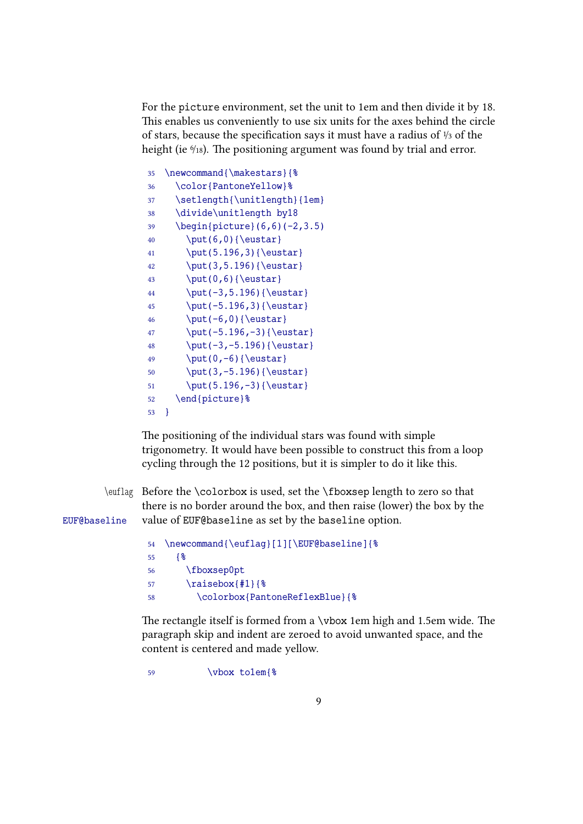For the picture environment, set the unit to 1em and then divide it by 18. This enables us conveniently to use six units for the axes behind the circle of stars, because the specification says it must have a radius of <sup>1</sup>/<sup>3</sup> of the height (ie  $\frac{6}{18}$ ). The positioning argument was found by trial and error.

| 35 | \newcommand{\makestars}{%                         |
|----|---------------------------------------------------|
| 36 | \color{PantoneYellow}%                            |
| 37 | \setlength{\unitlength}{1em}                      |
| 38 | \divide\unitlength by18                           |
| 39 | $\begin{bmatrix} 6, 6 \\ (-2, 3.5) \end{bmatrix}$ |
| 40 | $\put(6,0){\text{eustar}}$                        |
| 41 | \put(5.196,3){\eustar}                            |
| 42 | \put(3,5.196){\eustar}                            |
| 43 | $\put(0,6){\text{eustar}}$                        |
| 44 | \put(-3,5.196){\eustar}                           |
| 45 | \put(-5.196,3){\eustar}                           |
| 46 | $\put (-6, 0) {\text{eustar}}$                    |
| 47 | \put(-5.196,-3){\eustar}                          |
| 48 | \put(-3,-5.196){\eustar}                          |
| 49 | $\put(0, -6)$ { \eustar }                         |
| 50 | \put(3,-5.196){\eustar}                           |
| 51 | \put(5.196,-3){\eustar}                           |
| 52 | \end{picture}%                                    |
| 53 | ł                                                 |
|    |                                                   |

The positioning of the individual stars was found with simple trigonometry. It would have been possible to construct this from a loop cycling through the 12 positions, but it is simpler to do it like this.

\euflag Before the \colorbox is used, set the \fboxsep length to zero so that there is no border around the box, and then raise (lower) the box by the EUF@baseline value of EUF@baseline as set by the baseline option.

```
54 \newcommand{\euflag}[1][\EUF@baseline]{%
55 {%
56 \fboxsep0pt
57 \raisebox{#1}{%
58 \colorbox{PantoneReflexBlue}{%
```
The rectangle itself is formed from a \vbox 1em high and 1.5em wide. The paragraph skip and indent are zeroed to avoid unwanted space, and the content is centered and made yellow.

59 \vbox to1em{%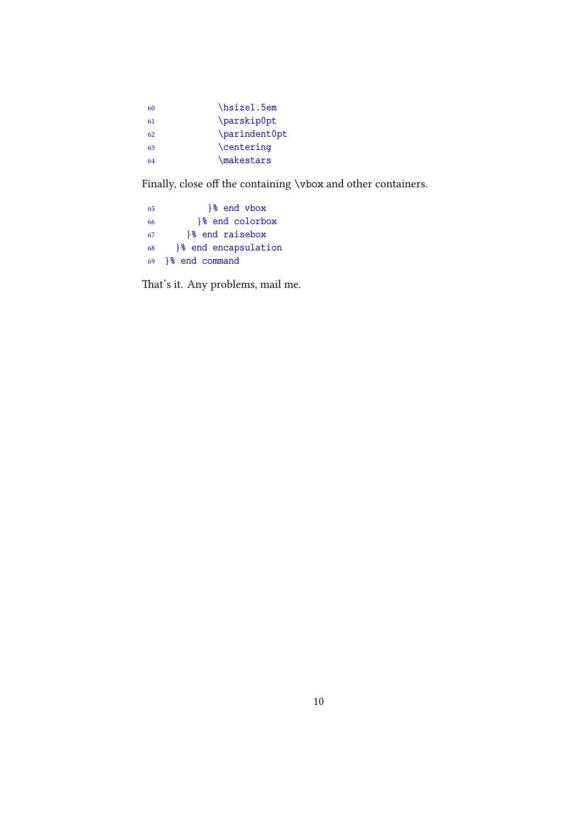| 60 | \hsize1.5em   |
|----|---------------|
| 61 | \parskip0pt   |
| 62 | \parindent0pt |
| 63 | \centering    |
| 64 | \makestars    |
|    |               |

Finally, close off the containing \vbox and other containers.

| -65 | 1% end vbox         |
|-----|---------------------|
| 66  | 1% end colorbox     |
| -67 | 1% end raisebox     |
| 68  | 8 end encapsulation |
| 69  | 1% end command      |

That's it. Any problems, mail me.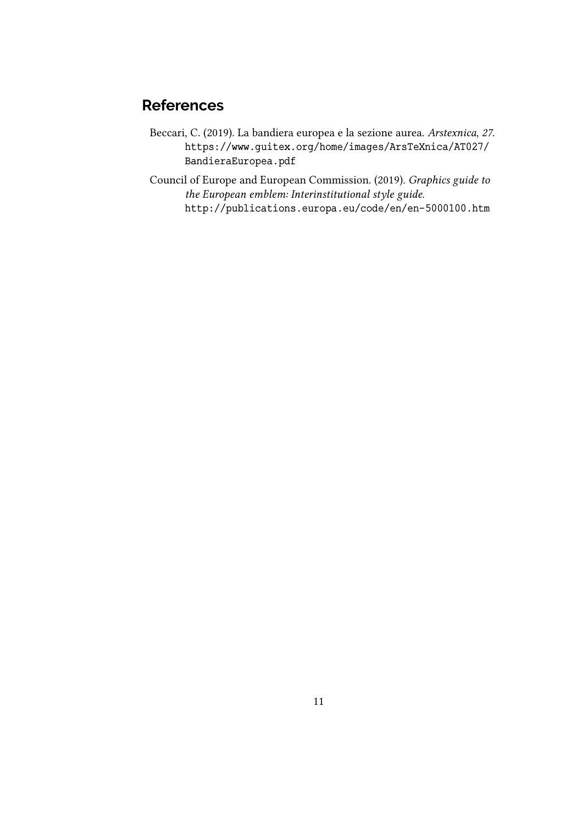## **References**

- Beccari, C. (2019). La bandiera europea e la sezione aurea. *Arstexnica*, *27*. https://www.guitex.org/home/images/ArsTeXnica/AT027/ BandieraEuropea.pdf
- Council of Europe and European Commission. (2019). *Graphics guide to the European emblem: Interinstitutional style guide*. http://publications.europa.eu/code/en/en-5000100.htm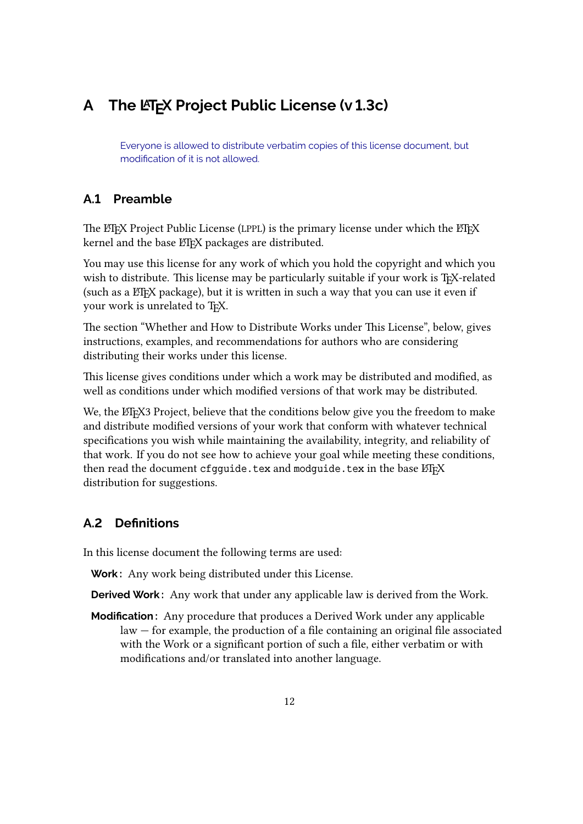## **A** The LA<sub>F</sub>X Project Public License (v 1.3c)

Everyone is allowed to distribute verbatim copies of this license document, but modification of it is not allowed.

### **A.1 Preamble**

The LATEX Project Public License (LPPL) is the primary license under which the LATEX kernel and the base ETEX packages are distributed.

You may use this license for any work of which you hold the copyright and which you wish to distribute. This license may be particularly suitable if your work is TEX-related (such as a ET<sub>E</sub>X package), but it is written in such a way that you can use it even if your work is unrelated to TFX.

The section "Whether and How to Distribute Works under This License", below, gives instructions, examples, and recommendations for authors who are considering distributing their works under this license.

This license gives conditions under which a work may be distributed and modified, as well as conditions under which modified versions of that work may be distributed.

We, the ET<sub>F</sub>X3 Project, believe that the conditions below give you the freedom to make and distribute modified versions of your work that conform with whatever technical specifications you wish while maintaining the availability, integrity, and reliability of that work. If you do not see how to achieve your goal while meeting these conditions, then read the document cfgguide.tex and modguide.tex in the base ETFX distribution for suggestions.

## **A.2 Definitions**

In this license document the following terms are used:

**Work :** Any work being distributed under this License.

**Derived Work :** Any work that under any applicable law is derived from the Work.

**Modification :** Any procedure that produces a Derived Work under any applicable law — for example, the production of a file containing an original file associated with the Work or a significant portion of such a file, either verbatim or with modifications and/or translated into another language.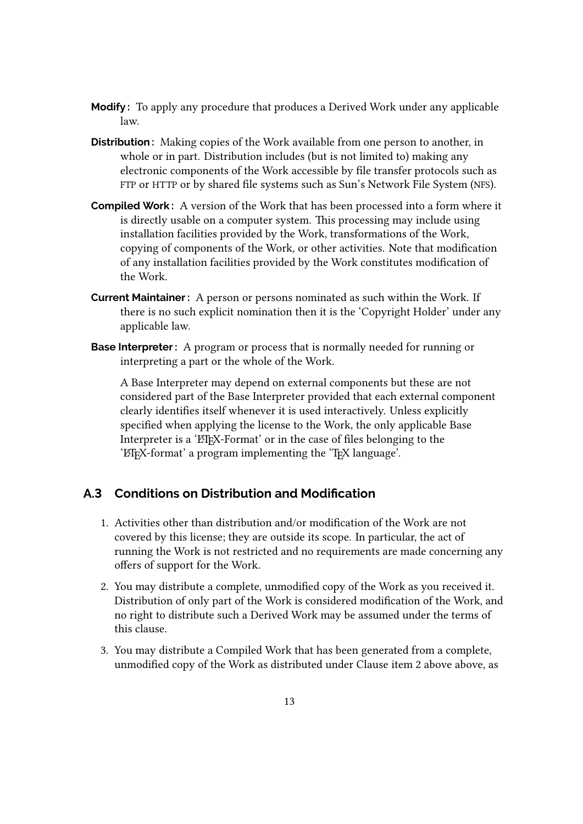- **Modify :** To apply any procedure that produces a Derived Work under any applicable law.
- **Distribution :** Making copies of the Work available from one person to another, in whole or in part. Distribution includes (but is not limited to) making any electronic components of the Work accessible by file transfer protocols such as FTP or HTTP or by shared file systems such as Sun's Network File System (NFS).
- **Compiled Work :** A version of the Work that has been processed into a form where it is directly usable on a computer system. This processing may include using installation facilities provided by the Work, transformations of the Work, copying of components of the Work, or other activities. Note that modification of any installation facilities provided by the Work constitutes modification of the Work.
- **Current Maintainer :** A person or persons nominated as such within the Work. If there is no such explicit nomination then it is the 'Copyright Holder' under any applicable law.
- **Base Interpreter :** A program or process that is normally needed for running or interpreting a part or the whole of the Work.

A Base Interpreter may depend on external components but these are not considered part of the Base Interpreter provided that each external component clearly identifies itself whenever it is used interactively. Unless explicitly specified when applying the license to the Work, the only applicable Base Interpreter is a 'LT<sub>F</sub>X-Format' or in the case of files belonging to the 'LHFX-format' a program implementing the 'TFX language'.

### **A.3 Conditions on Distribution and Modification**

- 1. Activities other than distribution and/or modification of the Work are not covered by this license; they are outside its scope. In particular, the act of running the Work is not restricted and no requirements are made concerning any offers of support for the Work.
- 2. You may distribute a complete, unmodified copy of the Work as you received it. Distribution of only part of the Work is considered modification of the Work, and no right to distribute such a Derived Work may be assumed under the terms of this clause.
- 3. You may distribute a Compiled Work that has been generated from a complete, unmodified copy of the Work as distributed under Clause item 2 above above, as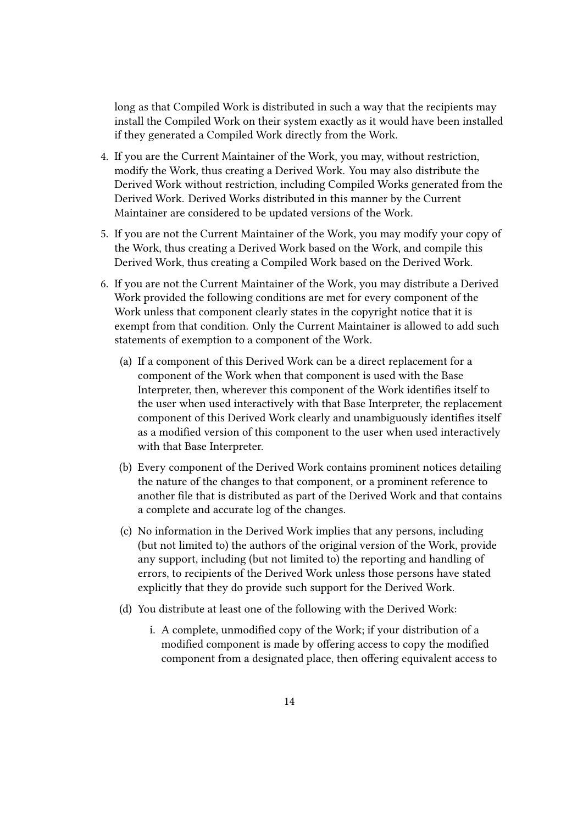long as that Compiled Work is distributed in such a way that the recipients may install the Compiled Work on their system exactly as it would have been installed if they generated a Compiled Work directly from the Work.

- 4. If you are the Current Maintainer of the Work, you may, without restriction, modify the Work, thus creating a Derived Work. You may also distribute the Derived Work without restriction, including Compiled Works generated from the Derived Work. Derived Works distributed in this manner by the Current Maintainer are considered to be updated versions of the Work.
- 5. If you are not the Current Maintainer of the Work, you may modify your copy of the Work, thus creating a Derived Work based on the Work, and compile this Derived Work, thus creating a Compiled Work based on the Derived Work.
- 6. If you are not the Current Maintainer of the Work, you may distribute a Derived Work provided the following conditions are met for every component of the Work unless that component clearly states in the copyright notice that it is exempt from that condition. Only the Current Maintainer is allowed to add such statements of exemption to a component of the Work.
	- (a) If a component of this Derived Work can be a direct replacement for a component of the Work when that component is used with the Base Interpreter, then, wherever this component of the Work identifies itself to the user when used interactively with that Base Interpreter, the replacement component of this Derived Work clearly and unambiguously identifies itself as a modified version of this component to the user when used interactively with that Base Interpreter.
	- (b) Every component of the Derived Work contains prominent notices detailing the nature of the changes to that component, or a prominent reference to another file that is distributed as part of the Derived Work and that contains a complete and accurate log of the changes.
	- (c) No information in the Derived Work implies that any persons, including (but not limited to) the authors of the original version of the Work, provide any support, including (but not limited to) the reporting and handling of errors, to recipients of the Derived Work unless those persons have stated explicitly that they do provide such support for the Derived Work.
	- (d) You distribute at least one of the following with the Derived Work:
		- i. A complete, unmodified copy of the Work; if your distribution of a modified component is made by offering access to copy the modified component from a designated place, then offering equivalent access to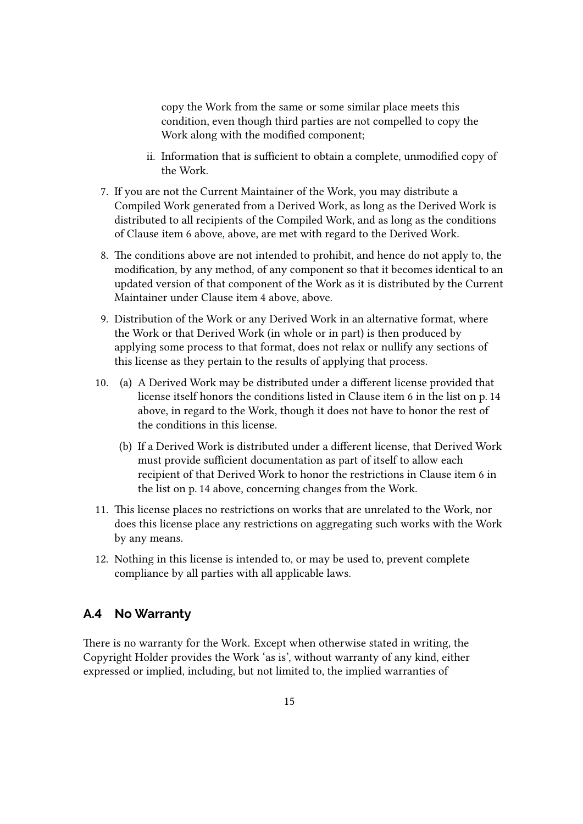copy the Work from the same or some similar place meets this condition, even though third parties are not compelled to copy the Work along with the modified component;

- ii. Information that is sufficient to obtain a complete, unmodified copy of the Work.
- 7. If you are not the Current Maintainer of the Work, you may distribute a Compiled Work generated from a Derived Work, as long as the Derived Work is distributed to all recipients of the Compiled Work, and as long as the conditions of Clause item 6 above, above, are met with regard to the Derived Work.
- 8. The conditions above are not intended to prohibit, and hence do not apply to, the modification, by any method, of any component so that it becomes identical to an updated version of that component of the Work as it is distributed by the Current Maintainer under Clause item 4 above, above.
- 9. Distribution of the Work or any Derived Work in an alternative format, where the Work or that Derived Work (in whole or in part) is then produced by applying some process to that format, does not relax or nullify any sections of this license as they pertain to the results of applying that process.
- 10. (a) A Derived Work may be distributed under a different license provided that license itself honors the conditions listed in Clause item 6 in the list on p. 14 above, in regard to the Work, though it does not have to honor the rest of the conditions in this license.
	- (b) If a Derived Work is distributed under a different license, that Derived Work must provide sufficient documentation as part of itself to allow each recipient of that Derived Work to honor the restrictions in Clause item 6 in the list on p. 14 above, concerning changes from the Work.
- 11. This license places no restrictions on works that are unrelated to the Work, nor does this license place any restrictions on aggregating such works with the Work by any means.
- 12. Nothing in this license is intended to, or may be used to, prevent complete compliance by all parties with all applicable laws.

### **A.4 No Warranty**

There is no warranty for the Work. Except when otherwise stated in writing, the Copyright Holder provides the Work 'as is', without warranty of any kind, either expressed or implied, including, but not limited to, the implied warranties of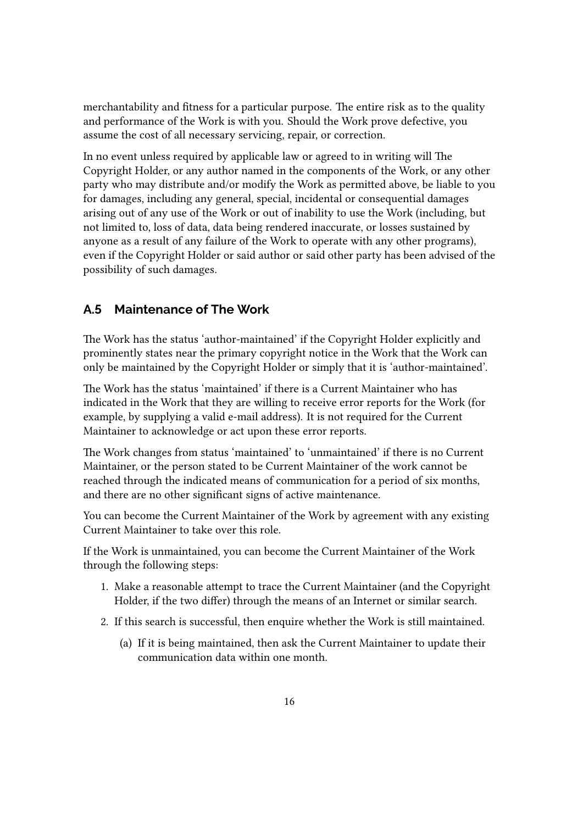merchantability and fitness for a particular purpose. The entire risk as to the quality and performance of the Work is with you. Should the Work prove defective, you assume the cost of all necessary servicing, repair, or correction.

In no event unless required by applicable law or agreed to in writing will The Copyright Holder, or any author named in the components of the Work, or any other party who may distribute and/or modify the Work as permitted above, be liable to you for damages, including any general, special, incidental or consequential damages arising out of any use of the Work or out of inability to use the Work (including, but not limited to, loss of data, data being rendered inaccurate, or losses sustained by anyone as a result of any failure of the Work to operate with any other programs), even if the Copyright Holder or said author or said other party has been advised of the possibility of such damages.

### **A.5 Maintenance of The Work**

The Work has the status 'author-maintained' if the Copyright Holder explicitly and prominently states near the primary copyright notice in the Work that the Work can only be maintained by the Copyright Holder or simply that it is 'author-maintained'.

The Work has the status 'maintained' if there is a Current Maintainer who has indicated in the Work that they are willing to receive error reports for the Work (for example, by supplying a valid e-mail address). It is not required for the Current Maintainer to acknowledge or act upon these error reports.

The Work changes from status 'maintained' to 'unmaintained' if there is no Current Maintainer, or the person stated to be Current Maintainer of the work cannot be reached through the indicated means of communication for a period of six months, and there are no other significant signs of active maintenance.

You can become the Current Maintainer of the Work by agreement with any existing Current Maintainer to take over this role.

If the Work is unmaintained, you can become the Current Maintainer of the Work through the following steps:

- 1. Make a reasonable attempt to trace the Current Maintainer (and the Copyright Holder, if the two differ) through the means of an Internet or similar search.
- 2. If this search is successful, then enquire whether the Work is still maintained.
	- (a) If it is being maintained, then ask the Current Maintainer to update their communication data within one month.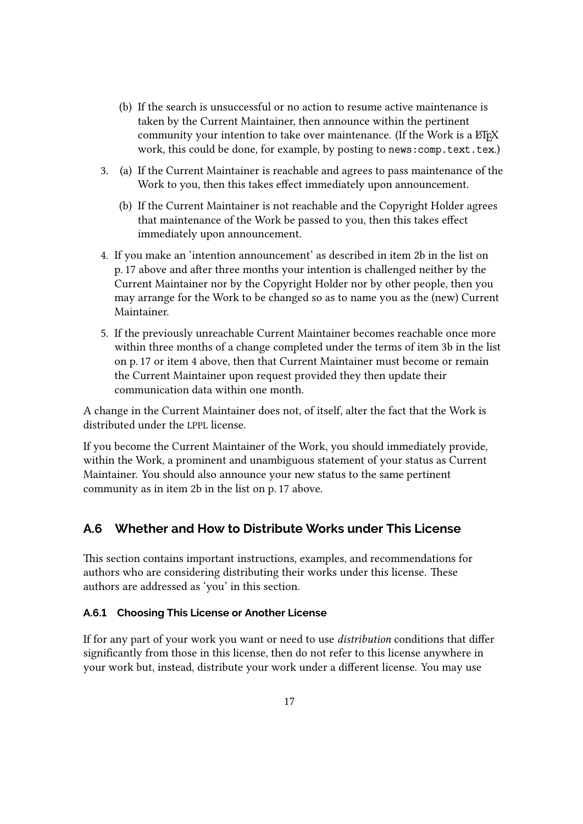- (b) If the search is unsuccessful or no action to resume active maintenance is taken by the Current Maintainer, then announce within the pertinent community your intention to take over maintenance. (If the Work is a ETFX work, this could be done, for example, by posting to news: comp.text.tex.)
- 3. (a) If the Current Maintainer is reachable and agrees to pass maintenance of the Work to you, then this takes effect immediately upon announcement.
	- (b) If the Current Maintainer is not reachable and the Copyright Holder agrees that maintenance of the Work be passed to you, then this takes effect immediately upon announcement.
- 4. If you make an 'intention announcement' as described in item 2b in the list on p. 17 above and after three months your intention is challenged neither by the Current Maintainer nor by the Copyright Holder nor by other people, then you may arrange for the Work to be changed so as to name you as the (new) Current Maintainer.
- 5. If the previously unreachable Current Maintainer becomes reachable once more within three months of a change completed under the terms of item 3b in the list on p. 17 or item 4 above, then that Current Maintainer must become or remain the Current Maintainer upon request provided they then update their communication data within one month.

A change in the Current Maintainer does not, of itself, alter the fact that the Work is distributed under the LPPL license.

If you become the Current Maintainer of the Work, you should immediately provide, within the Work, a prominent and unambiguous statement of your status as Current Maintainer. You should also announce your new status to the same pertinent community as in item 2b in the list on p. 17 above.

### **A.6 Whether and How to Distribute Works under This License**

This section contains important instructions, examples, and recommendations for authors who are considering distributing their works under this license. These authors are addressed as 'you' in this section.

#### **A.6.1 Choosing This License or Another License**

If for any part of your work you want or need to use *distribution* conditions that differ significantly from those in this license, then do not refer to this license anywhere in your work but, instead, distribute your work under a different license. You may use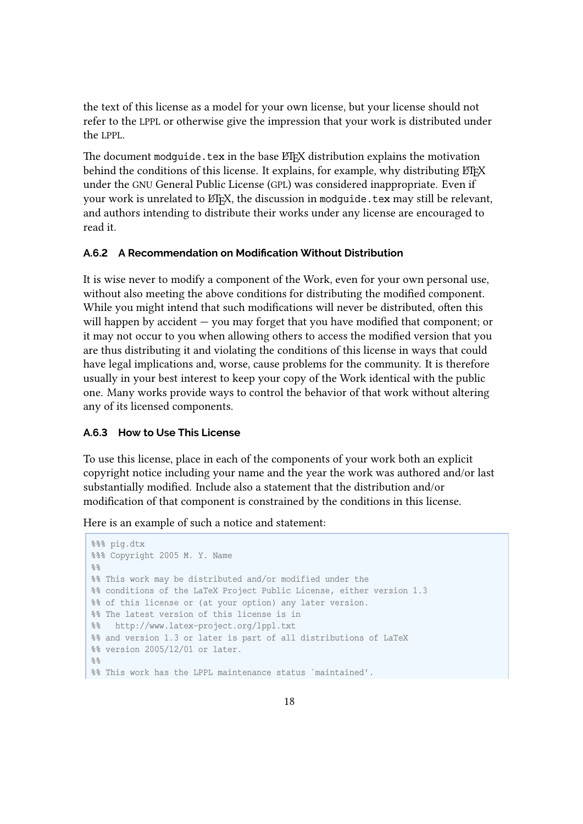the text of this license as a model for your own license, but your license should not refer to the LPPL or otherwise give the impression that your work is distributed under the LPPL.

The document modguide.tex in the base ETEX distribution explains the motivation behind the conditions of this license. It explains, for example, why distributing  $E$ FFX under the GNU General Public License (GPL) was considered inappropriate. Even if your work is unrelated to ETEX, the discussion in modquide.tex may still be relevant, and authors intending to distribute their works under any license are encouraged to read it.

#### **A.6.2 A Recommendation on Modification Without Distribution**

It is wise never to modify a component of the Work, even for your own personal use, without also meeting the above conditions for distributing the modified component. While you might intend that such modifications will never be distributed, often this will happen by accident — you may forget that you have modified that component; or it may not occur to you when allowing others to access the modified version that you are thus distributing it and violating the conditions of this license in ways that could have legal implications and, worse, cause problems for the community. It is therefore usually in your best interest to keep your copy of the Work identical with the public one. Many works provide ways to control the behavior of that work without altering any of its licensed components.

#### **A.6.3 How to Use This License**

To use this license, place in each of the components of your work both an explicit copyright notice including your name and the year the work was authored and/or last substantially modified. Include also a statement that the distribution and/or modification of that component is constrained by the conditions in this license.

Here is an example of such a notice and statement:

```
%%% pig.dtx
%%% Copyright 2005 M. Y. Name
%%% This work may be distributed and/or modified under the
%% conditions of the LaTeX Project Public License, either version 1.3
%% of this license or (at your option) any later version.
%% The latest version of this license is in
%% http://www.latex-project.org/lppl.txt
%% and version 1.3 or later is part of all distributions of LaTeX
%% version 2005/12/01 or later.
% > 2%% This work has the LPPL maintenance status `maintained'.
```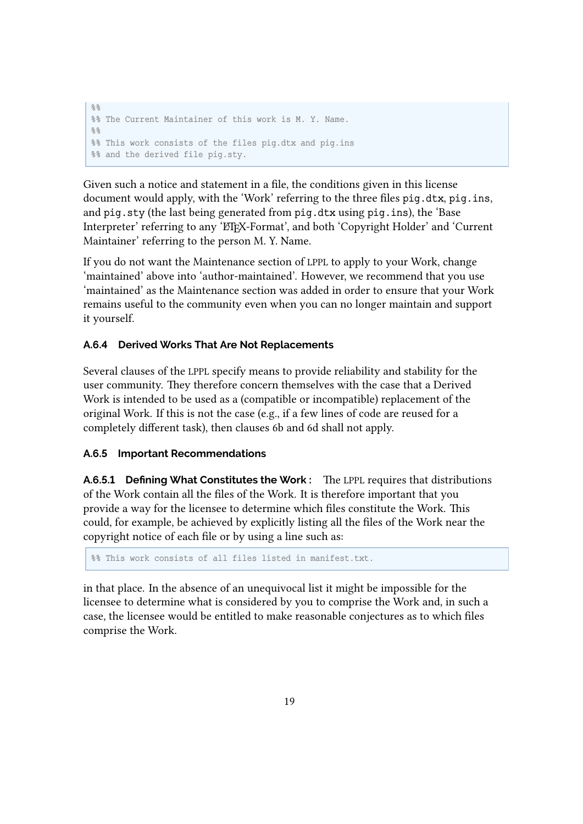```
%%
%% The Current Maintainer of this work is M. Y. Name.
22%% This work consists of the files pig.dtx and pig.ins
%% and the derived file pig.sty.
```
Given such a notice and statement in a file, the conditions given in this license document would apply, with the 'Work' referring to the three files pig.dtx, pig.ins, and pig.sty (the last being generated from pig.dtx using pig.ins), the 'Base Interpreter' referring to any 'ETEX-Format', and both 'Copyright Holder' and 'Current Maintainer' referring to the person M. Y. Name.

If you do not want the Maintenance section of LPPL to apply to your Work, change 'maintained' above into 'author-maintained'. However, we recommend that you use 'maintained' as the Maintenance section was added in order to ensure that your Work remains useful to the community even when you can no longer maintain and support it yourself.

#### **A.6.4 Derived Works That Are Not Replacements**

Several clauses of the LPPL specify means to provide reliability and stability for the user community. They therefore concern themselves with the case that a Derived Work is intended to be used as a (compatible or incompatible) replacement of the original Work. If this is not the case (e.g., if a few lines of code are reused for a completely different task), then clauses 6b and 6d shall not apply.

#### **A.6.5 Important Recommendations**

**A.6.5.1 Defining What Constitutes the Work :** The LPPL requires that distributions of the Work contain all the files of the Work. It is therefore important that you provide a way for the licensee to determine which files constitute the Work. This could, for example, be achieved by explicitly listing all the files of the Work near the copyright notice of each file or by using a line such as:

%% This work consists of all files listed in manifest.txt.

in that place. In the absence of an unequivocal list it might be impossible for the licensee to determine what is considered by you to comprise the Work and, in such a case, the licensee would be entitled to make reasonable conjectures as to which files comprise the Work.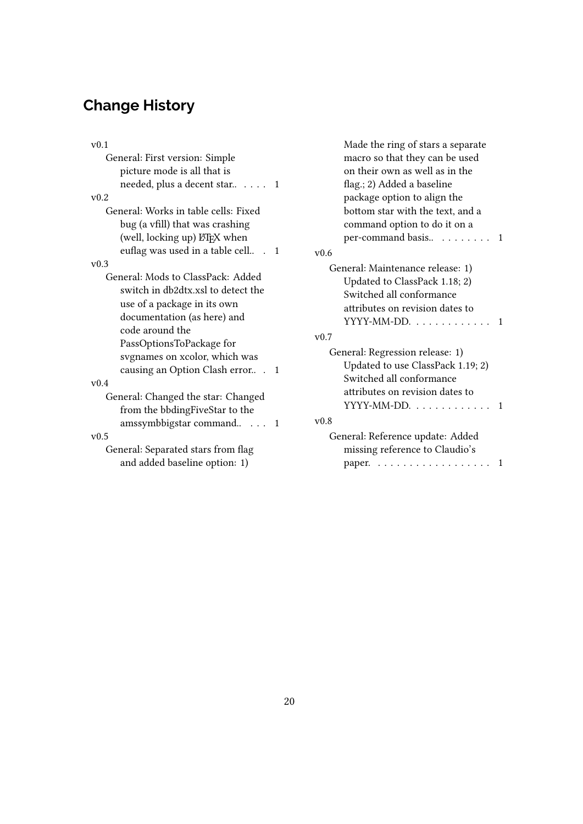## **Change History**

| v(0.1)                               |  |
|--------------------------------------|--|
| General: First version: Simple       |  |
| picture mode is all that is          |  |
| needed, plus a decent star 1         |  |
| v0.2                                 |  |
| General: Works in table cells: Fixed |  |
| bug (a vfill) that was crashing      |  |
| (well, locking up) LTFX when         |  |
| euflag was used in a table cell<br>1 |  |
| v0.3                                 |  |
| General: Mods to ClassPack: Added    |  |
| switch in db2dtx.xsl to detect the   |  |
| use of a package in its own          |  |
| documentation (as here) and          |  |
| code around the                      |  |
| PassOptionsToPackage for             |  |
| sygnames on xcolor, which was        |  |
| causing an Option Clash error<br>1   |  |
| v(0.4)                               |  |
| General: Changed the star: Changed   |  |
| from the bbdingFiveStar to the       |  |
| amssymbbigstar command<br>1          |  |
| v0.5                                 |  |
| General: Separated stars from flag   |  |
| and added baseline option: 1)        |  |
|                                      |  |

Made the ring of stars a separate macro so that they can be used on their own as well as in the flag.; 2) Added a baseline package option to align the bottom star with the text, and a command option to do it on a per-command basis.. . . . . . . . . 1 v0.6 General: Maintenance release: 1) Updated to ClassPack 1.18; 2) Switched all conformance attributes on revision dates to YYYY-MM-DD. . . . . . . . . . . . . 1 v0.7 General: Regression release: 1) Updated to use ClassPack 1.19; 2) Switched all conformance attributes on revision dates to  $YYYY-MM\text{-}DD. \ldots \ldots \ldots 1$ v0.8 General: Reference update: Added missing reference to Claudio's paper. . . . . . . . . . . . . . . . . . . 1